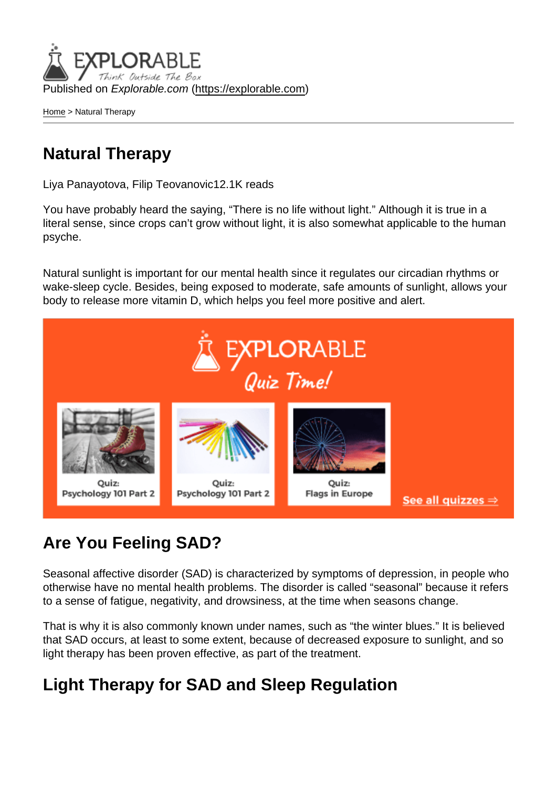Published on Explorable.com (<https://explorable.com>)

[Home](https://explorable.com/) > Natural Therapy

## Natural Therapy

Liya Panayotova, Filip Teovanovic12.1K reads

You have probably heard the saying, "There is no life without light." Although it is true in a literal sense, since crops can't grow without light, it is also somewhat applicable to the human psyche.

Natural sunlight is important for our mental health since it regulates our circadian rhythms or wake-sleep cycle. Besides, being exposed to moderate, safe amounts of sunlight, allows your body to release more vitamin D, which helps you feel more positive and alert.

## Are You Feeling SAD?

Seasonal affective disorder (SAD) is characterized by symptoms of depression, in people who otherwise have no mental health problems. The disorder is called "seasonal" because it refers to a sense of fatigue, negativity, and drowsiness, at the time when seasons change.

That is why it is also commonly known under names, such as "the winter blues." It is believed that SAD occurs, at least to some extent, because of decreased exposure to sunlight, and so light therapy has been proven effective, as part of the treatment.

## Light Therapy for SAD and Sleep Regulation